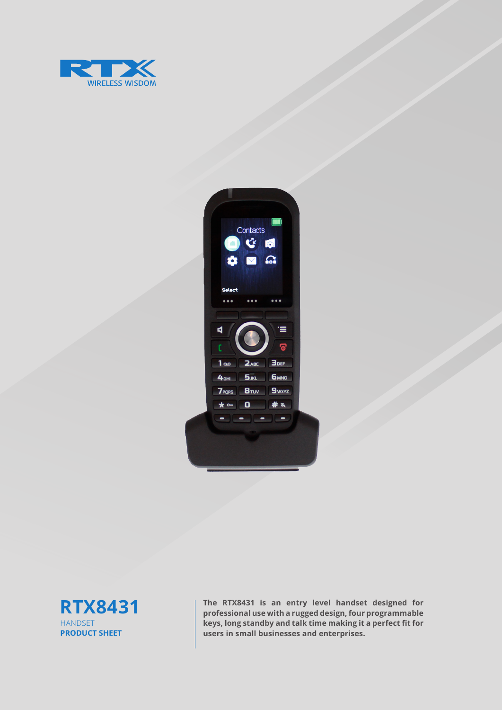





**The RTX8431 is an entry level handset designed for professional use with a rugged design, four programmable keys, long standby and talk time making it a perfect fit for users in small businesses and enterprises.**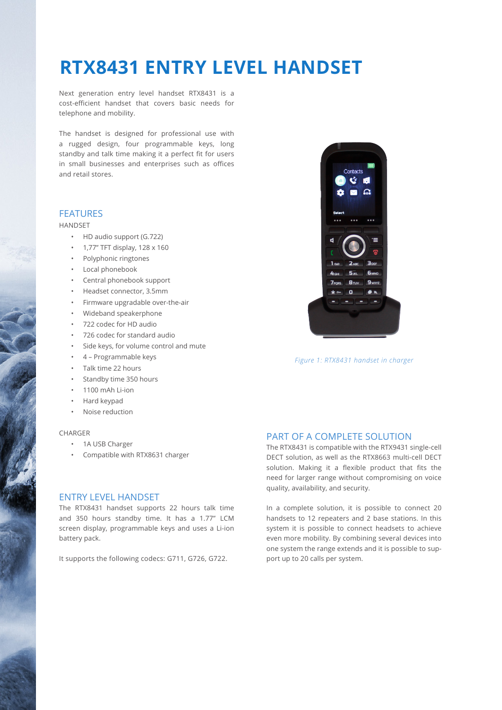### **RTX8431 ENTRY LEVEL HANDSET**

Next generation entry level handset RTX8431 is a cost-efficient handset that covers basic needs for telephone and mobility.

The handset is designed for professional use with a rugged design, four programmable keys, long standby and talk time making it a perfect fit for users in small businesses and enterprises such as offices and retail stores.

#### FEATURES

#### HANDSET

- HD audio support (G.722)
- 1,77'' TFT display, 128 x 160
- Polyphonic ringtones
- Local phonebook
- Central phonebook support
- Headset connector, 3.5mm
- Firmware upgradable over-the-air
- Wideband speakerphone
- 722 codec for HD audio
- 726 codec for standard audio
- Side keys, for volume control and mute
- 4 Programmable keys
- Talk time 22 hours
- Standby time 350 hours
- 1100 mAh Li-ion
- Hard keypad
- Noise reduction

#### CHARGER

- 1A USB Charger
- Compatible with RTX8631 charger

#### ENTRY LEVEL HANDSET

The RTX8431 handset supports 22 hours talk time and 350 hours standby time. It has a 1.77" LCM screen display, programmable keys and uses a Li-ion battery pack.

It supports the following codecs: G711, G726, G722.



*Figure 1: RTX8431 handset in charger*

### PART OF A COMPLETE SOLUTION

The RTX8431 is compatible with the RTX9431 single-cell DECT solution, as well as the RTX8663 multi-cell DECT solution. Making it a flexible product that fits the need for larger range without compromising on voice quality, availability, and security.

In a complete solution, it is possible to connect 20 handsets to 12 repeaters and 2 base stations. In this system it is possible to connect headsets to achieve even more mobility. By combining several devices into one system the range extends and it is possible to support up to 20 calls per system.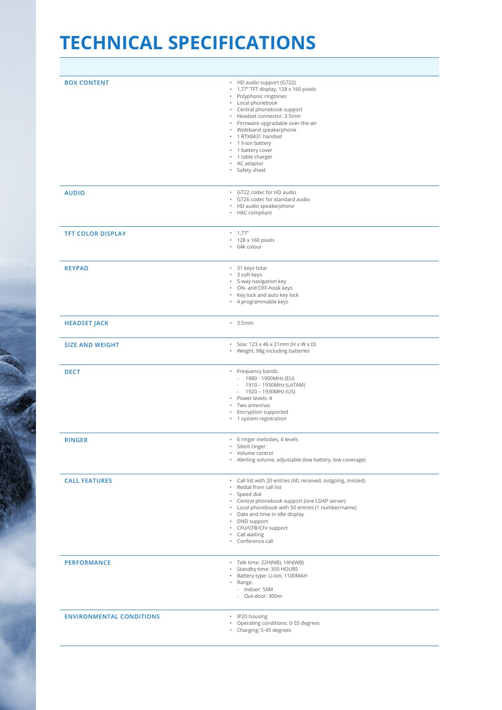## **TECHNICAL SPECIFICATIONS**

| <b>BOX CONTENT</b>              | • HD audio support (G722)<br>· 1,77" TFT display, 128 x 160 pixels<br>• Polyphonic ringtones<br>• Local phonebook<br>• Central phonebook support<br>• Headset connector, 3.5mm<br>· Firmware upgradable over-the-air<br>• Wideband speakerphone<br>· 1 RTX8431 handset<br>• 1 li-ion battery<br>• 1 battery cover<br>• 1 table charger<br>• AC adaptor<br>· Safety sheet |
|---------------------------------|--------------------------------------------------------------------------------------------------------------------------------------------------------------------------------------------------------------------------------------------------------------------------------------------------------------------------------------------------------------------------|
| <b>AUDIO</b>                    | · G722 codec for HD audio<br>G726 codec for standard audio<br>$\bullet$<br>• HD audio speakerphone<br>• HAC compliant                                                                                                                                                                                                                                                    |
| <b>TFT COLOR DISPLAY</b>        | $-1,77"$<br>· 128 x 160 pixels<br>· 64k colour                                                                                                                                                                                                                                                                                                                           |
| <b>KEYPAD</b>                   | · 31 keys total<br>· 3 soft keys<br>· 5-way navigation key<br>• ON- and OFF-hook keys<br>• Key lock and auto key lock<br>• 4 programmable keys                                                                                                                                                                                                                           |
| <b>HEADSET JACK</b>             | $\cdot$ 3.5mm                                                                                                                                                                                                                                                                                                                                                            |
| <b>SIZE AND WEIGHT</b>          | $\cdot$ Size: 123 x 46 x 21mm (H x W x D)<br>• Weight: 98g including batteries                                                                                                                                                                                                                                                                                           |
| <b>DECT</b>                     | • Frequency bands:<br>- 1880 - 1900MHz (EU)<br>1910 - 1930MHz (LATAM)<br>$\overline{\phantom{a}}$<br>$-1920 - 1930 MHz (US)$<br>Power levels: 4<br>٠<br>· Two antennas<br>• Encryption supported<br>• 1 system registration                                                                                                                                              |
| <b>RINGER</b>                   | · 6 ringer melodies, 6 levels<br>· Silent ringer<br>• Volume control<br>• Alerting volume, adjustable (low battery, low coverage)                                                                                                                                                                                                                                        |
| <b>CALL FEATURES</b>            | · Call list with 20 entries (All, received, outgoing, missed)<br>Redial from call list<br>٠<br>Speed dial<br>• Central phonebook support (one LDAP server)<br>Local phonebook with 50 entries (1 number/name)<br>$\bullet$<br>Date and time in Idle display<br>• DND support<br>• CFU/CFB/CFx support<br>Call waiting<br>$\bullet$<br>Conference call                    |
| <b>PERFORMANCE</b>              | • Talk time: 22H(NB), 14H(WB)<br>Standby time: 350 HOURS<br>Battery type: Li-Ion, 1100MAH<br>· Range:<br>- Indoor: 50M<br>- Out-door: 300m                                                                                                                                                                                                                               |
| <b>ENVIRONMENTAL CONDITIONS</b> | • IP20 housing<br>Operating conditions: 0-55 degrees<br>$\bullet$<br>Charging: 5-45 degrees<br>$\bullet$                                                                                                                                                                                                                                                                 |